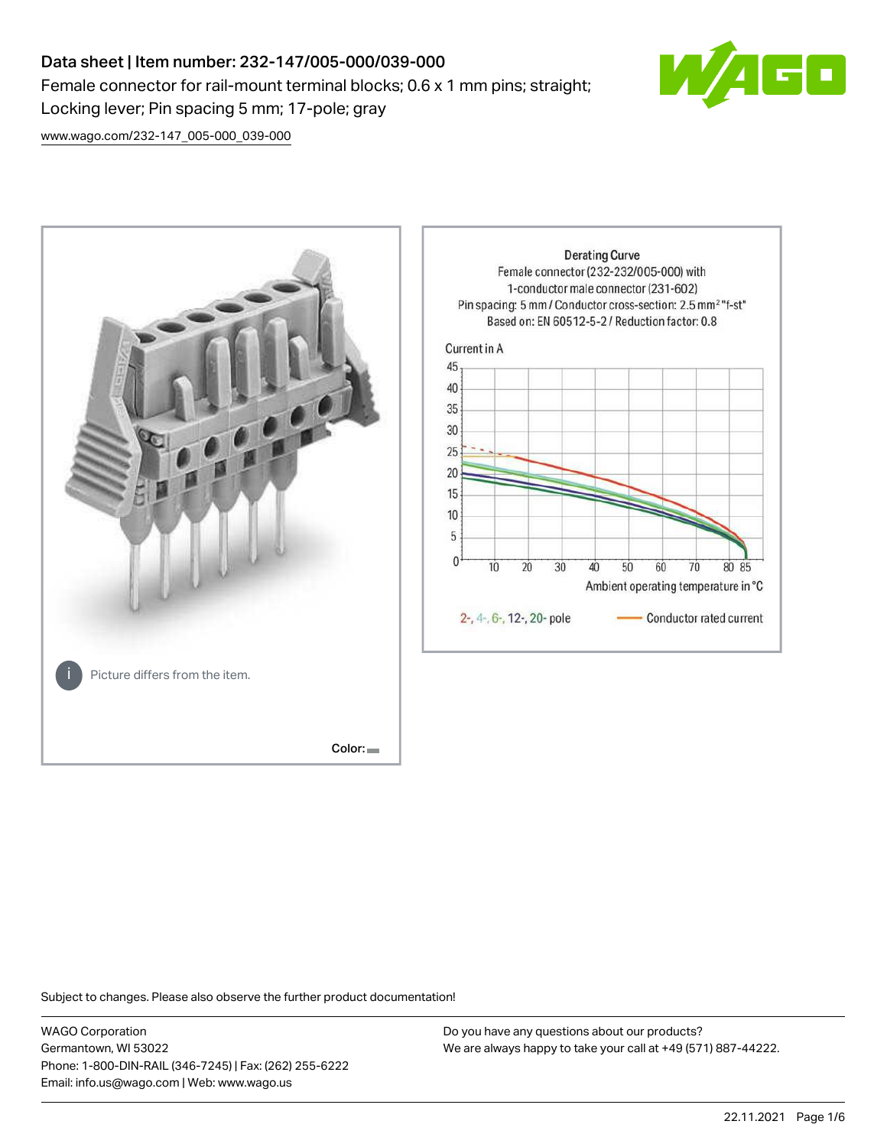# Data sheet | Item number: 232-147/005-000/039-000 Female connector for rail-mount terminal blocks; 0.6 x 1 mm pins; straight; Locking lever; Pin spacing 5 mm; 17-pole; gray



[www.wago.com/232-147\\_005-000\\_039-000](http://www.wago.com/232-147_005-000_039-000)



Subject to changes. Please also observe the further product documentation!

WAGO Corporation Germantown, WI 53022 Phone: 1-800-DIN-RAIL (346-7245) | Fax: (262) 255-6222 Email: info.us@wago.com | Web: www.wago.us

Do you have any questions about our products? We are always happy to take your call at +49 (571) 887-44222.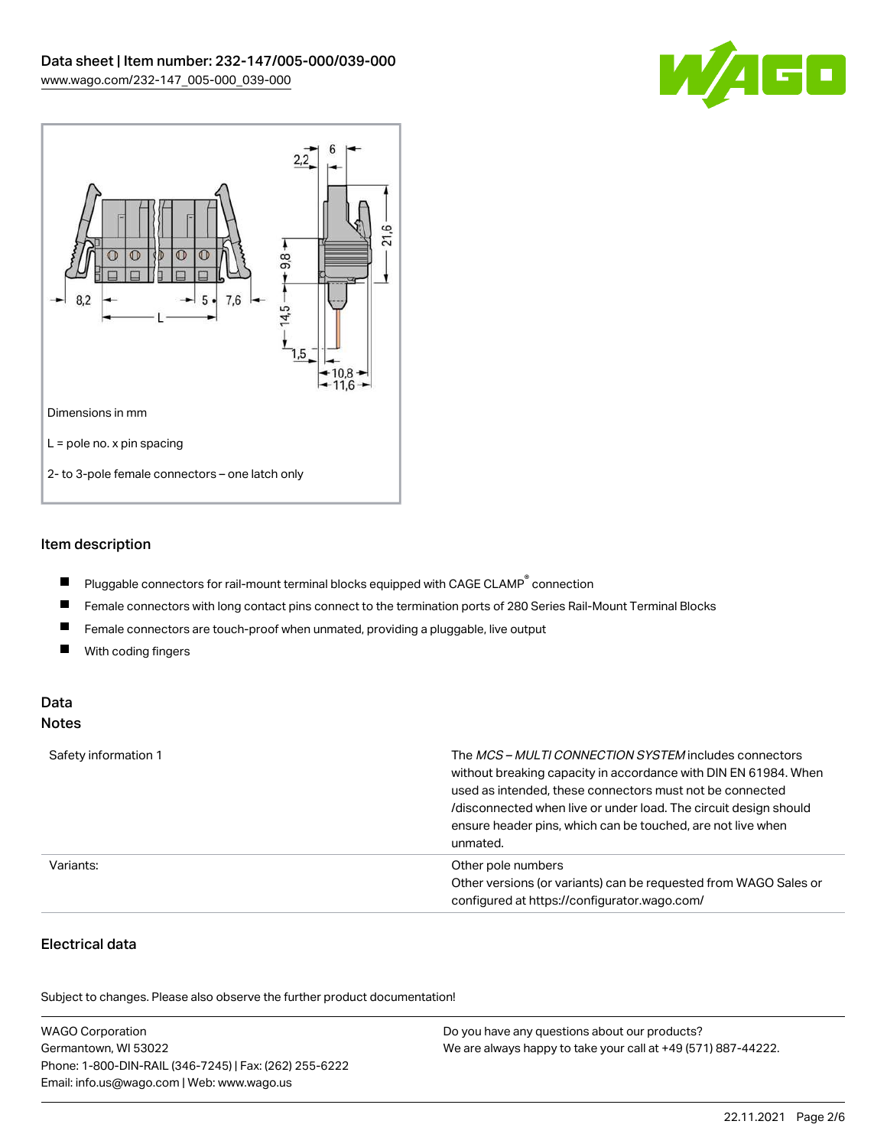



## Item description

- $\blacksquare$ Pluggable connectors for rail-mount terminal blocks equipped with CAGE CLAMP $^{\circ}$  connection
- $\blacksquare$ Female connectors with long contact pins connect to the termination ports of 280 Series Rail-Mount Terminal Blocks
- $\blacksquare$ Female connectors are touch-proof when unmated, providing a pluggable, live output
- $\blacksquare$ With coding fingers

#### Data Notes

| Safety information 1 | The <i>MCS – MULTI CONNECTION SYSTEM</i> includes connectors<br>without breaking capacity in accordance with DIN EN 61984. When<br>used as intended, these connectors must not be connected<br>/disconnected when live or under load. The circuit design should<br>ensure header pins, which can be touched, are not live when<br>unmated. |
|----------------------|--------------------------------------------------------------------------------------------------------------------------------------------------------------------------------------------------------------------------------------------------------------------------------------------------------------------------------------------|
| Variants:            | Other pole numbers<br>Other versions (or variants) can be requested from WAGO Sales or<br>configured at https://configurator.wago.com/                                                                                                                                                                                                     |

# Electrical data

.<br>Subject to changes. Please also observe the further product documentation!

| <b>WAGO Corporation</b>                                | Do you have any questions about our products?                 |
|--------------------------------------------------------|---------------------------------------------------------------|
| Germantown, WI 53022                                   | We are always happy to take your call at +49 (571) 887-44222. |
| Phone: 1-800-DIN-RAIL (346-7245)   Fax: (262) 255-6222 |                                                               |
| Email: info.us@wago.com   Web: www.wago.us             |                                                               |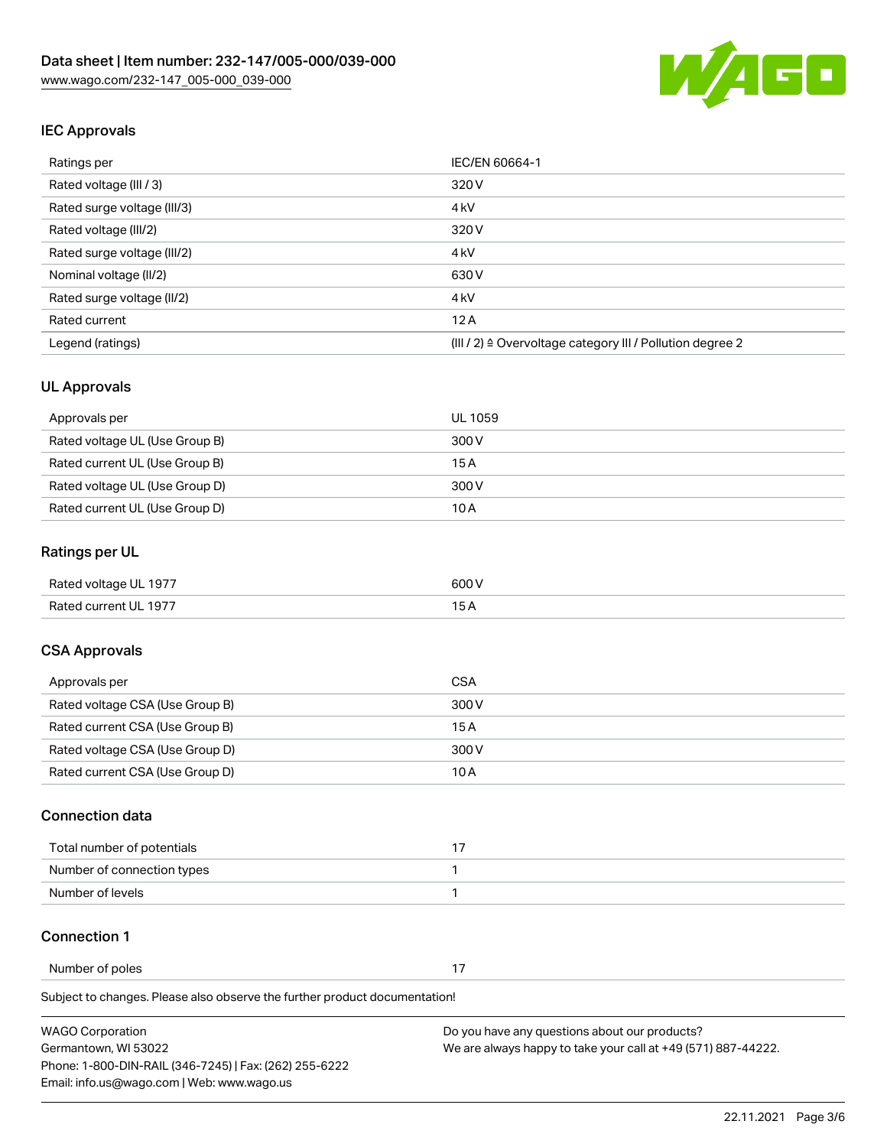

# IEC Approvals

| Ratings per                 | IEC/EN 60664-1                                                       |  |
|-----------------------------|----------------------------------------------------------------------|--|
| Rated voltage (III / 3)     | 320 V                                                                |  |
| Rated surge voltage (III/3) | 4 <sub>k</sub> V                                                     |  |
| Rated voltage (III/2)       | 320 V                                                                |  |
| Rated surge voltage (III/2) | 4 <sub>k</sub> V                                                     |  |
| Nominal voltage (II/2)      | 630 V                                                                |  |
| Rated surge voltage (II/2)  | 4 <sub>k</sub> V                                                     |  |
| Rated current               | 12A                                                                  |  |
| Legend (ratings)            | (III / 2) $\triangleq$ Overvoltage category III / Pollution degree 2 |  |

## UL Approvals

| Approvals per                  | UL 1059 |
|--------------------------------|---------|
| Rated voltage UL (Use Group B) | 300 V   |
| Rated current UL (Use Group B) | 15 A    |
| Rated voltage UL (Use Group D) | 300 V   |
| Rated current UL (Use Group D) | 10 A    |

## Ratings per UL

| Rated voltage UL 1977 | 600 V |
|-----------------------|-------|
| Rated current UL 1977 |       |

## CSA Approvals

| Approvals per                   | CSA   |
|---------------------------------|-------|
| Rated voltage CSA (Use Group B) | 300 V |
| Rated current CSA (Use Group B) | 15 A  |
| Rated voltage CSA (Use Group D) | 300 V |
| Rated current CSA (Use Group D) | 10 A  |

#### Connection data

| Total number of potentials |  |
|----------------------------|--|
| Number of connection types |  |
| Number of levels           |  |

#### Connection 1

Number of poles 17

Subject to changes. Please also observe the further product documentation!

| <b>WAGO Corporation</b>                                | Do you have any questions about our products?                 |
|--------------------------------------------------------|---------------------------------------------------------------|
| Germantown, WI 53022                                   | We are always happy to take your call at +49 (571) 887-44222. |
| Phone: 1-800-DIN-RAIL (346-7245)   Fax: (262) 255-6222 |                                                               |
| Email: info.us@wago.com   Web: www.wago.us             |                                                               |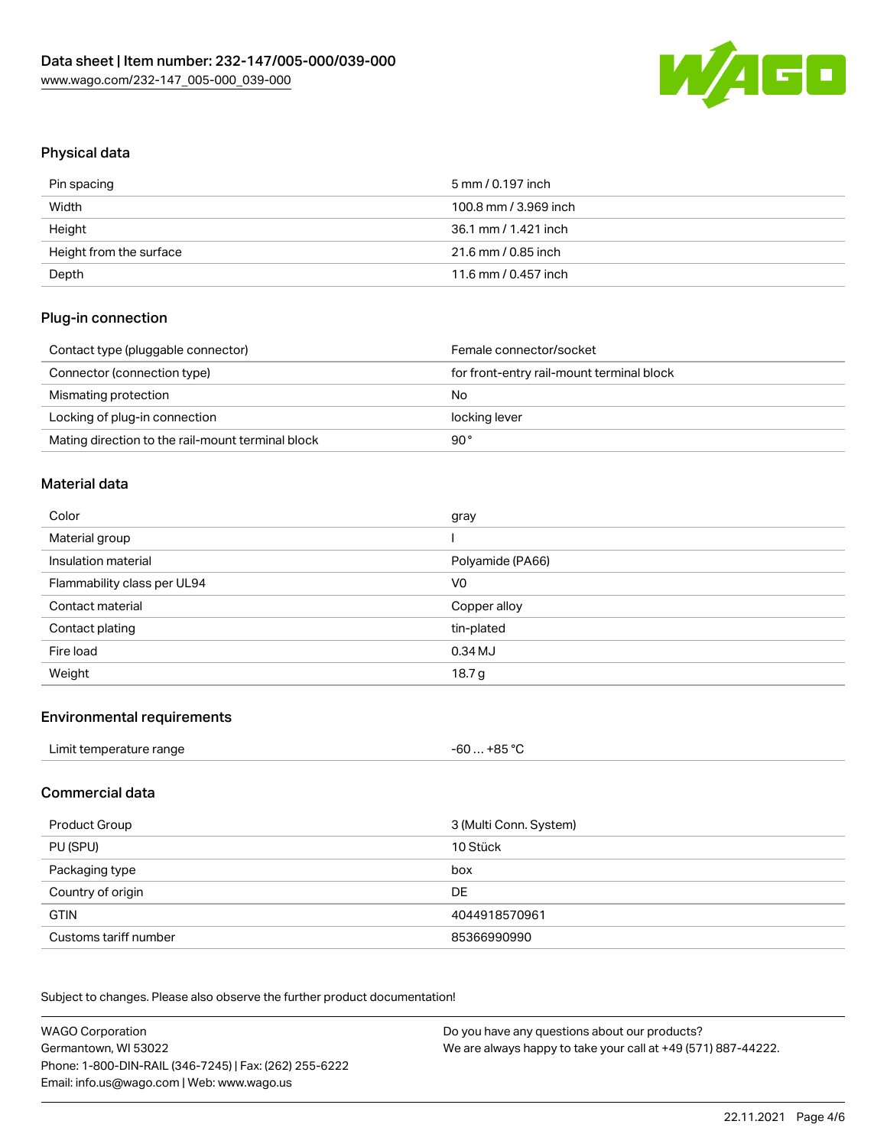

# Physical data

| Pin spacing             | 5 mm / 0.197 inch     |
|-------------------------|-----------------------|
| Width                   | 100.8 mm / 3.969 inch |
| Height                  | 36.1 mm / 1.421 inch  |
| Height from the surface | 21.6 mm / 0.85 inch   |
| Depth                   | 11.6 mm / 0.457 inch  |

## Plug-in connection

| Contact type (pluggable connector)                | Female connector/socket                   |
|---------------------------------------------------|-------------------------------------------|
| Connector (connection type)                       | for front-entry rail-mount terminal block |
| Mismating protection                              | No                                        |
| Locking of plug-in connection                     | locking lever                             |
| Mating direction to the rail-mount terminal block | 90°                                       |

#### Material data

| Color                       | gray             |
|-----------------------------|------------------|
| Material group              |                  |
| Insulation material         | Polyamide (PA66) |
| Flammability class per UL94 | V <sub>0</sub>   |
|                             |                  |
| Contact material            | Copper alloy     |
| Contact plating             | tin-plated       |
| Fire load                   | 0.34 MJ          |

#### Environmental requirements

| Limit temperature range | $-60+85 °C$ |  |
|-------------------------|-------------|--|
|-------------------------|-------------|--|

### Commercial data

| Product Group         | 3 (Multi Conn. System) |
|-----------------------|------------------------|
| PU (SPU)              | 10 Stück               |
| Packaging type        | box                    |
| Country of origin     | DE                     |
| <b>GTIN</b>           | 4044918570961          |
| Customs tariff number | 85366990990            |

Subject to changes. Please also observe the further product documentation!

| <b>WAGO Corporation</b>                                | Do you have any questions about our products?                 |
|--------------------------------------------------------|---------------------------------------------------------------|
| Germantown, WI 53022                                   | We are always happy to take your call at +49 (571) 887-44222. |
| Phone: 1-800-DIN-RAIL (346-7245)   Fax: (262) 255-6222 |                                                               |
| Email: info.us@wago.com   Web: www.wago.us             |                                                               |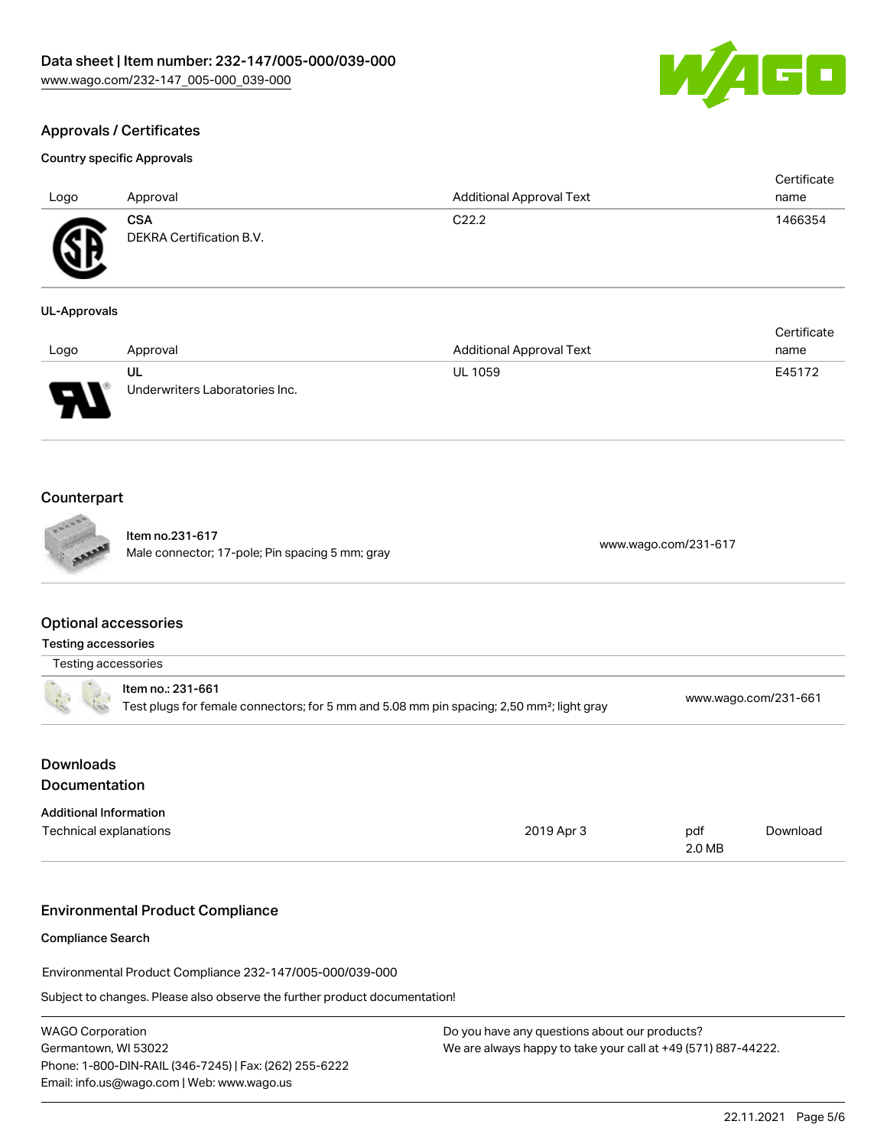

Certificate

# Approvals / Certificates

#### Country specific Approvals

| C <sub>22.2</sub><br><b>CSA</b><br>1466354<br>Æ<br>DEKRA Certification B.V.<br>፵ | Logo | Approval | <b>Additional Approval Text</b> | Certificate<br>name |
|----------------------------------------------------------------------------------|------|----------|---------------------------------|---------------------|
|                                                                                  |      |          |                                 |                     |

#### UL-Approvals

|      |                                |                                 | <b>OUTLINDATE</b> |
|------|--------------------------------|---------------------------------|-------------------|
| Logo | Approval                       | <b>Additional Approval Text</b> | name              |
|      | UL                             | <b>UL 1059</b>                  | E45172            |
| J    | Underwriters Laboratories Inc. |                                 |                   |

## Counterpart

Item no.231-617 nem 10.251-017<br>Male connector; 17-pole; Pin spacing 5 mm; gray [www.wago.com/231-617](https://www.wago.com/231-617)

## Optional accessories

Testing accessories

Testing accessories

|  | Item no.: 231-661                                                                                     |                      |
|--|-------------------------------------------------------------------------------------------------------|----------------------|
|  | Test plugs for female connectors; for 5 mm and 5.08 mm pin spacing; 2,50 mm <sup>2</sup> ; light gray | www.wago.com/231-661 |

| 2019 Apr 3 | pdf<br>2.0 MB | Download |
|------------|---------------|----------|
|            |               |          |

#### Environmental Product Compliance

Compliance Search

Environmental Product Compliance 232-147/005-000/039-000

Subject to changes. Please also observe the further product documentation!

| <b>WAGO Corporation</b>                                |
|--------------------------------------------------------|
| Germantown, WI 53022                                   |
| Phone: 1-800-DIN-RAIL (346-7245)   Fax: (262) 255-6222 |
| Email: info.us@wago.com   Web: www.wago.us             |

Do you have any questions about our products? We are always happy to take your call at +49 (571) 887-44222.